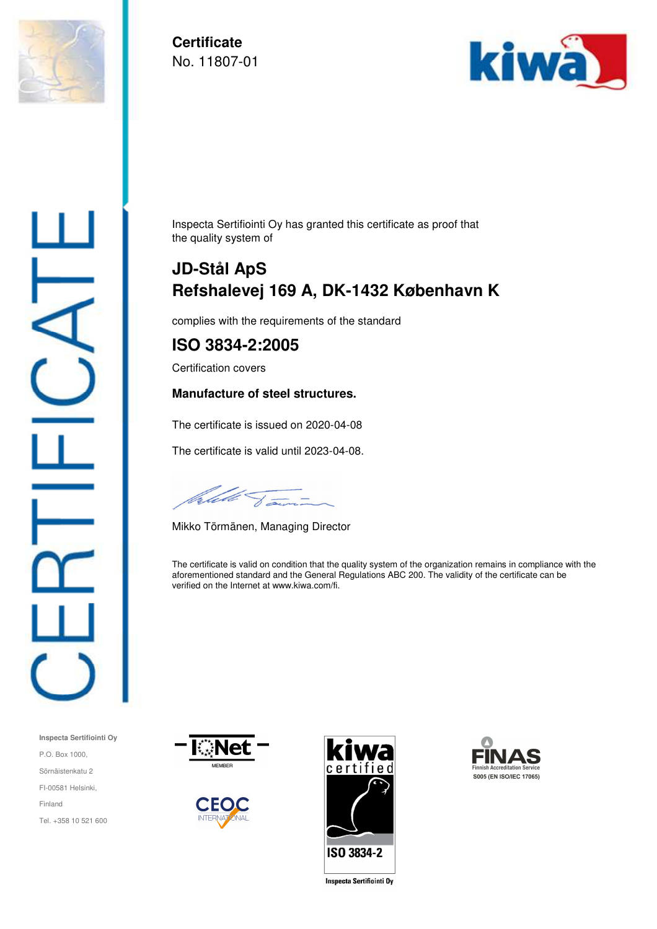

**Certificate**  No. 11807-01



Inspecta Sertifiointi Oy has granted this certificate as proof that the quality system of

# **JD-Stål ApS Refshalevej 169 A, DK-1432 København K**

complies with the requirements of the standard

# **ISO 3834-2:2005**

Certification covers

#### **Manufacture of steel structures.**

The certificate is issued on 2020-04-08

The certificate is valid until 2023-04-08.

Calebe Jami

Mikko Törmänen, Managing Director

The certificate is valid on condition that the quality system of the organization remains in compliance with the aforementioned standard and the General Regulations ABC 200. The validity of the certificate can be verified on the Internet at www.kiwa.com/fi.



**Inspecta Sertifiointi Oy**

Tel. +358 10 521 600

P.O. Box 1000, Sörnäistenkatu 2 FI-00581 Helsinki,

Finland